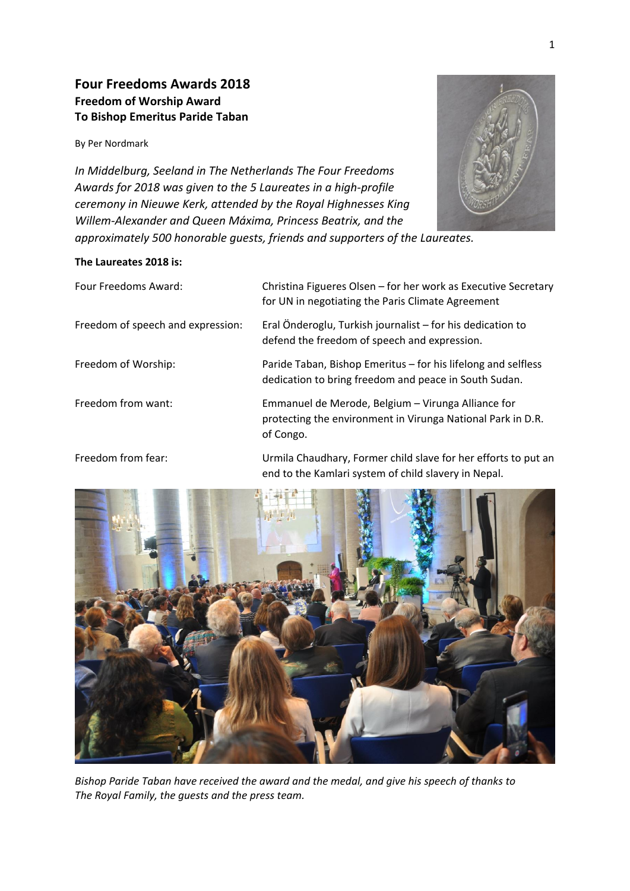# **Four Freedoms Awards 2018 Freedom of Worship Award To Bishop Emeritus Paride Taban**

By Per Nordmark

*In Middelburg, Seeland in The Netherlands The Four Freedoms Awards for 2018 was given to the 5 Laureates in a high-profile ceremony in Nieuwe Kerk, attended by the Royal Highnesses King Willem-Alexander and Queen Máxima, Princess Beatrix, and the approximately 500 honorable guests, friends and supporters of the Laureates.*

## **The Laureates 2018 is:**





*Bishop Paride Taban have received the award and the medal, and give his speech of thanks to The Royal Family, the guests and the press team.*



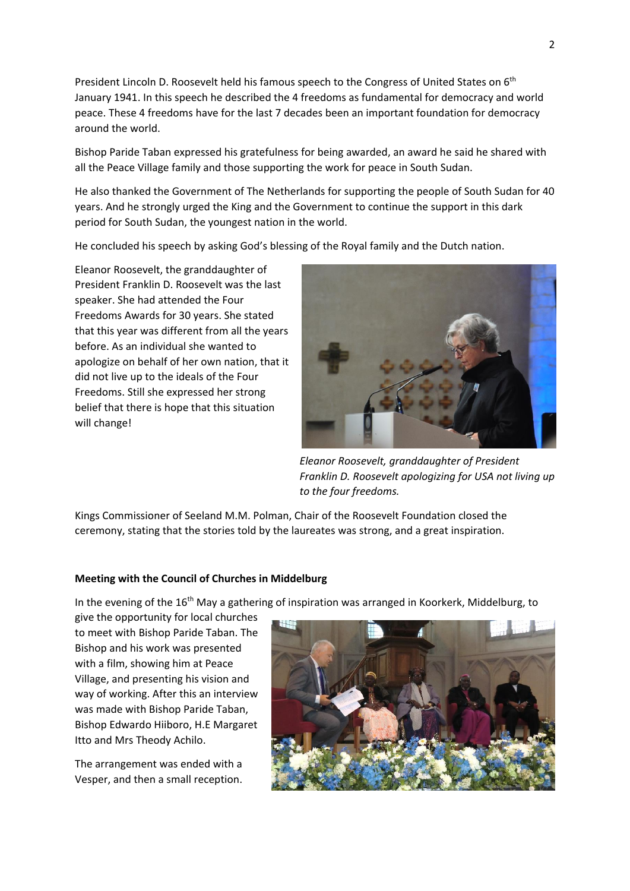President Lincoln D. Roosevelt held his famous speech to the Congress of United States on 6<sup>th</sup> January 1941. In this speech he described the 4 freedoms as fundamental for democracy and world peace. These 4 freedoms have for the last 7 decades been an important foundation for democracy around the world.

Bishop Paride Taban expressed his gratefulness for being awarded, an award he said he shared with all the Peace Village family and those supporting the work for peace in South Sudan.

He also thanked the Government of The Netherlands for supporting the people of South Sudan for 40 years. And he strongly urged the King and the Government to continue the support in this dark period for South Sudan, the youngest nation in the world.

He concluded his speech by asking God's blessing of the Royal family and the Dutch nation.

Eleanor Roosevelt, the granddaughter of President Franklin D. Roosevelt was the last speaker. She had attended the Four Freedoms Awards for 30 years. She stated that this year was different from all the years before. As an individual she wanted to apologize on behalf of her own nation, that it did not live up to the ideals of the Four Freedoms. Still she expressed her strong belief that there is hope that this situation will change!



*Eleanor Roosevelt, granddaughter of President Franklin D. Roosevelt apologizing for USA not living up to the four freedoms.* 

Kings Commissioner of Seeland M.M. Polman, Chair of the Roosevelt Foundation closed the ceremony, stating that the stories told by the laureates was strong, and a great inspiration.

### **Meeting with the Council of Churches in Middelburg**

In the evening of the 16<sup>th</sup> May a gathering of inspiration was arranged in Koorkerk, Middelburg, to

give the opportunity for local churches to meet with Bishop Paride Taban. The Bishop and his work was presented with a film, showing him at Peace Village, and presenting his vision and way of working. After this an interview was made with Bishop Paride Taban, Bishop Edwardo Hiiboro, H.E Margaret Itto and Mrs Theody Achilo.

The arrangement was ended with a Vesper, and then a small reception.